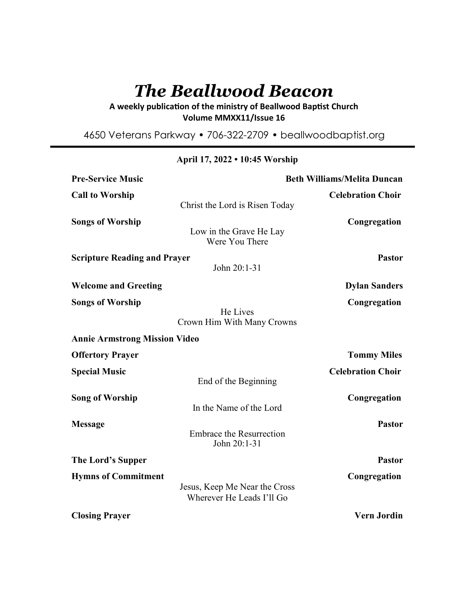# *The Beallwood Beacon*

# A weekly publication of the ministry of Beallwood Baptist Church **Volume MMXX11/Issue 16**

4650 Veterans Parkway • 706-322-2709 • beallwoodbaptist.org

| <b>Pre-Service Music</b>             |                                                            | <b>Beth Williams/Melita Duncan</b> |
|--------------------------------------|------------------------------------------------------------|------------------------------------|
| <b>Call to Worship</b>               | Christ the Lord is Risen Today                             | <b>Celebration Choir</b>           |
| <b>Songs of Worship</b>              | Low in the Grave He Lay<br>Were You There                  | Congregation                       |
| <b>Scripture Reading and Prayer</b>  | John 20:1-31                                               | <b>Pastor</b>                      |
| <b>Welcome and Greeting</b>          |                                                            | <b>Dylan Sanders</b>               |
| <b>Songs of Worship</b>              | He Lives<br>Crown Him With Many Crowns                     | Congregation                       |
| <b>Annie Armstrong Mission Video</b> |                                                            |                                    |
| <b>Offertory Prayer</b>              |                                                            | <b>Tommy Miles</b>                 |
| <b>Special Music</b>                 | End of the Beginning                                       | <b>Celebration Choir</b>           |
| <b>Song of Worship</b>               | In the Name of the Lord                                    | Congregation                       |
| <b>Message</b>                       | <b>Embrace the Resurrection</b><br>John 20:1-31            | <b>Pastor</b>                      |
| The Lord's Supper                    |                                                            | <b>Pastor</b>                      |
| <b>Hymns of Commitment</b>           | Jesus, Keep Me Near the Cross<br>Wherever He Leads I'll Go | Congregation                       |
| <b>Closing Prayer</b>                |                                                            | <b>Vern Jordin</b>                 |

# **April 17, 2022 • 10:45 Worship**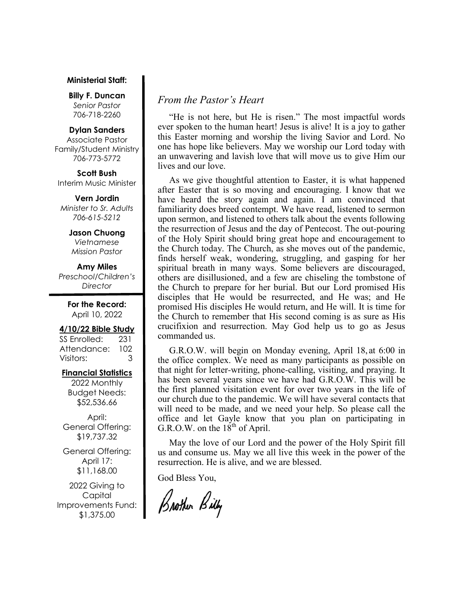#### **Ministerial Staff:**

**Billy F. Duncan** *Senior Pastor*  706-718-2260

#### **Dylan Sanders**

Associate Pastor Family/Student Ministry 706-773-5772

**Scott Bush**  Interim Music Minister

**Vern Jordin** *Minister to Sr. Adults 706-615-5212* 

> **Jason Chuong**  *Vietnamese Mission Pastor*

**Amy Miles** *Preschool/Children's Director* 

> **For the Record:**  April 10, 2022

#### **4/10/22 Bible Study**

SS Enrolled: 231 Attendance: 102 Visitors: 3

#### **Financial Statistics**

2022 Monthly Budget Needs: \$52,536.66

April: General Offering: \$19,737.32

General Offering: April 17: \$11,168.00

2022 Giving to Capital Improvements Fund: \$1,375.00

# *From the Pastor's Heart*

 "He is not here, but He is risen." The most impactful words ever spoken to the human heart! Jesus is alive! It is a joy to gather this Easter morning and worship the living Savior and Lord. No one has hope like believers. May we worship our Lord today with an unwavering and lavish love that will move us to give Him our lives and our love.

 As we give thoughtful attention to Easter, it is what happened after Easter that is so moving and encouraging. I know that we have heard the story again and again. I am convinced that familiarity does breed contempt. We have read, listened to sermon upon sermon, and listened to others talk about the events following the resurrection of Jesus and the day of Pentecost. The out-pouring of the Holy Spirit should bring great hope and encouragement to the Church today. The Church, as she moves out of the pandemic, finds herself weak, wondering, struggling, and gasping for her spiritual breath in many ways. Some believers are discouraged, others are disillusioned, and a few are chiseling the tombstone of the Church to prepare for her burial. But our Lord promised His disciples that He would be resurrected, and He was; and He promised His disciples He would return, and He will. It is time for the Church to remember that His second coming is as sure as His crucifixion and resurrection. May God help us to go as Jesus commanded us.

 G.R.O.W. will begin on Monday evening, April 18, at 6:00 in the office complex. We need as many participants as possible on that night for letter-writing, phone-calling, visiting, and praying. It has been several years since we have had G.R.O.W. This will be the first planned visitation event for over two years in the life of our church due to the pandemic. We will have several contacts that will need to be made, and we need your help. So please call the office and let Gayle know that you plan on participating in G.R.O.W. on the  $18<sup>th</sup>$  of April.

 May the love of our Lord and the power of the Holy Spirit fill us and consume us. May we all live this week in the power of the resurrection. He is alive, and we are blessed.

God Bless You,

Brother Billy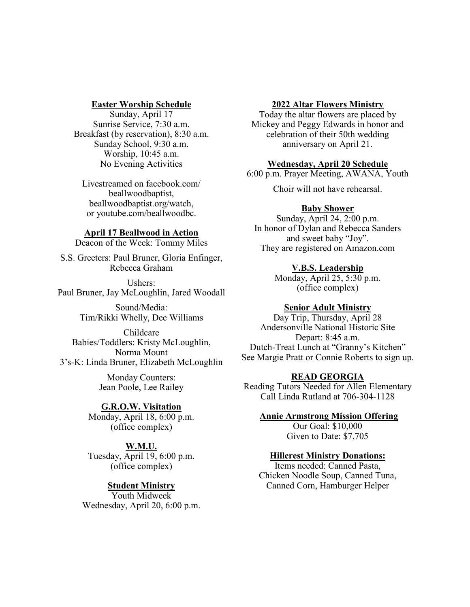## **Easter Worship Schedule**

Sunday, April 17 Sunrise Service, 7:30 a.m. Breakfast (by reservation), 8:30 a.m. Sunday School, 9:30 a.m. Worship, 10:45 a.m. No Evening Activities

Livestreamed on facebook.com/ beallwoodbaptist, beallwoodbaptist.org/watch, or youtube.com/beallwoodbc.

#### **April 17 Beallwood in Action**

Deacon of the Week: Tommy Miles

S.S. Greeters: Paul Bruner, Gloria Enfinger, Rebecca Graham

Ushers: Paul Bruner, Jay McLoughlin, Jared Woodall

> Sound/Media: Tim/Rikki Whelly, Dee Williams

Childcare Babies/Toddlers: Kristy McLoughlin, Norma Mount 3's-K: Linda Bruner, Elizabeth McLoughlin

> Monday Counters: Jean Poole, Lee Railey

**G.R.O.W. Visitation** Monday, April 18, 6:00 p.m. (office complex)

**W.M.U.** Tuesday, April 19, 6:00 p.m. (office complex)

# **Student Ministry**

Youth Midweek Wednesday, April 20, 6:00 p.m.

## **2022 Altar Flowers Ministry**

Today the altar flowers are placed by Mickey and Peggy Edwards in honor and celebration of their 50th wedding anniversary on April 21.

## **Wednesday, April 20 Schedule**

6:00 p.m. Prayer Meeting, AWANA, Youth

Choir will not have rehearsal.

#### **Baby Shower**

Sunday, April 24, 2:00 p.m. In honor of Dylan and Rebecca Sanders and sweet baby "Joy". They are registered on Amazon.com

#### **V.B.S. Leadership**

Monday, April 25, 5:30 p.m. (office complex)

#### **Senior Adult Ministry**

Day Trip, Thursday, April 28 Andersonville National Historic Site Depart: 8:45 a.m. Dutch-Treat Lunch at "Granny's Kitchen" See Margie Pratt or Connie Roberts to sign up.

#### **READ GEORGIA**

Reading Tutors Needed for Allen Elementary Call Linda Rutland at 706-304-1128

**Annie Armstrong Mission Offering**

Our Goal: \$10,000 Given to Date: \$7,705

## **Hillcrest Ministry Donations:**

Items needed: Canned Pasta, Chicken Noodle Soup, Canned Tuna, Canned Corn, Hamburger Helper